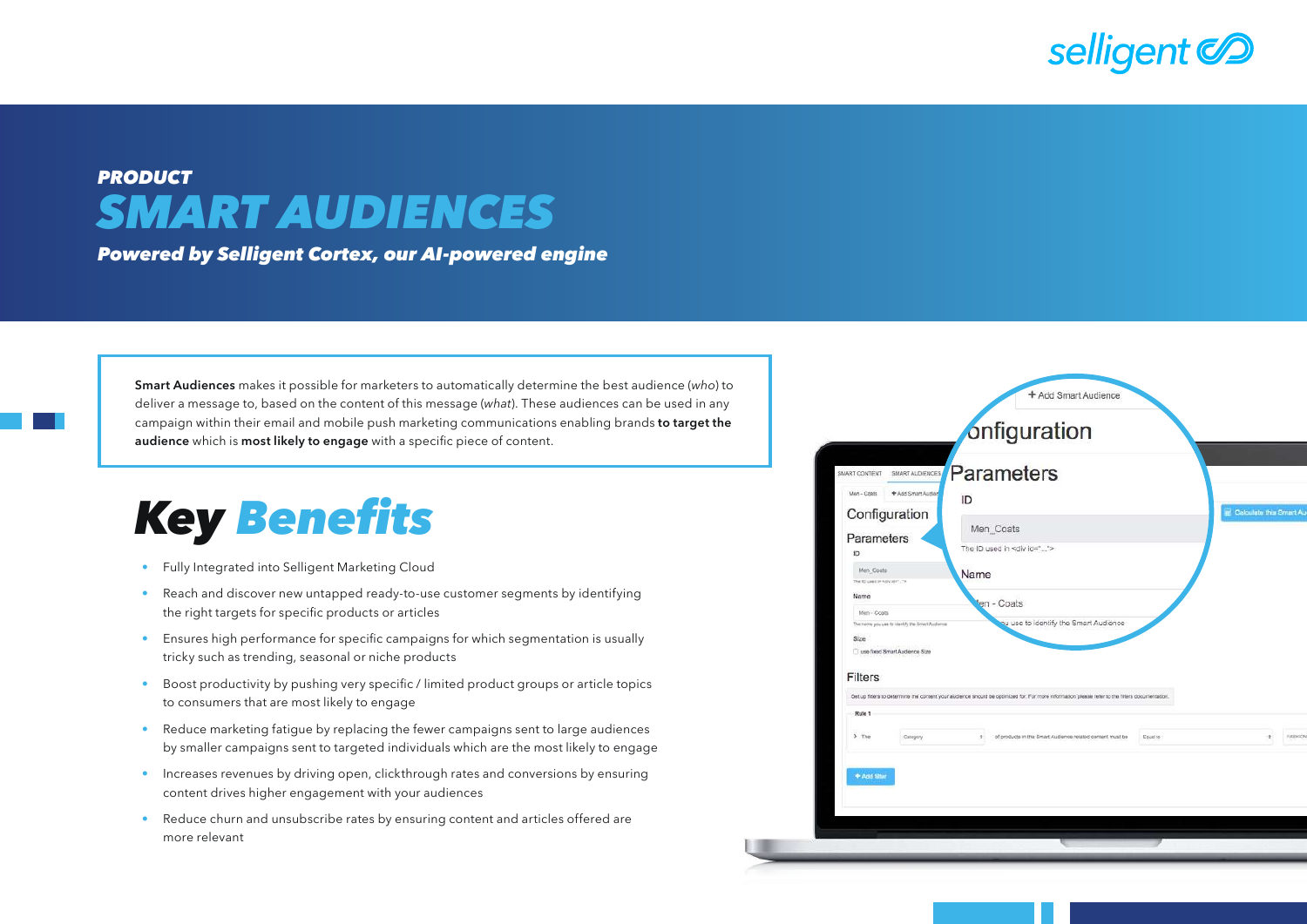

## *PRODUCT SMART AUDIENCES*

*Powered by Selligent Cortex, our AI-powered engine*

Smart Audiences makes it possible for marketers to automatically determine the best audience (*who*) to deliver a message to, based on the content of this message (*what*). These audiences can be used in any campaign within their email and mobile push marketing communications enabling brands to target the audience which is most likely to engage with a specific piece of content.

## *Key* Benefits

- Fully Integrated into Selligent Marketing Cloud
- Reach and discover new untapped ready-to-use customer segments by identifying the right targets for specific products or articles
- Ensures high performance for specific campaigns for which segmentation is usually tricky such as trending, seasonal or niche products
- Boost productivity by pushing very specific / limited product groups or article topics to consumers that are most likely to engage
- Reduce marketing fatigue by replacing the fewer campaigns sent to large audiences by smaller campaigns sent to targeted individuals which are the most likely to engage
- Increases revenues by driving open, clickthrough rates and conversions by ensuring content drives higher engagement with your audiences
- Reduce churn and unsubscribe rates by ensuring content and articles offered are more relevant